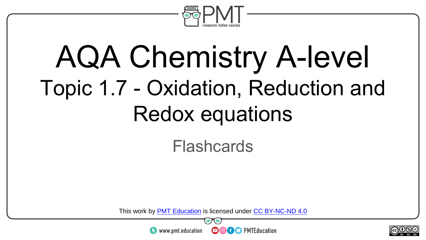

### AQA Chemistry A-level Topic 1.7 - Oxidation, Reduction and Redox equations

#### Flashcards

This work by <u>PMT Education</u> is licensed under CC BY-NC-ND 4.0<br>
www.pmt.education **in the CO CO** PMTEducation



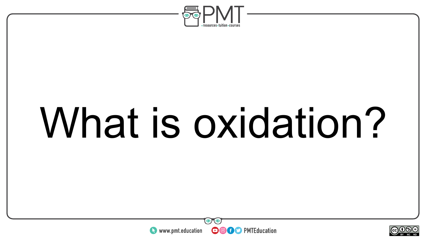

# What is oxidation?



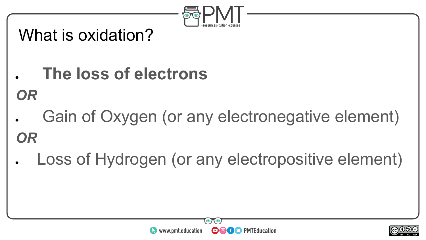

#### What is oxidation?

**● The loss of electrons**

*OR*

- Gain of Oxygen (or any electronegative element) *OR*
- Loss of Hydrogen (or any electropositive element)

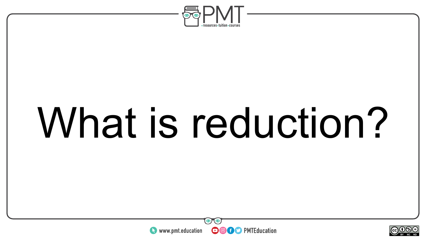

# What is reduction?



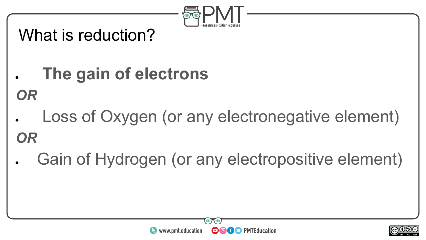

#### What is reduction?

- **● The gain of electrons**
- *OR*
- Loss of Oxygen (or any electronegative element) *OR*
- Gain of Hydrogen (or any electropositive element)

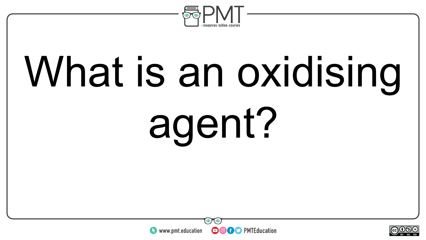

# What is an oxidising agent?



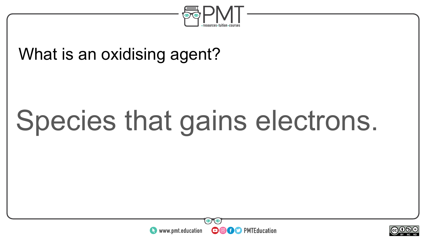

#### What is an oxidising agent?

### Species that gains electrons.



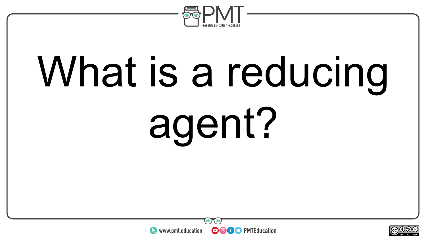

# What is a reducing agent?



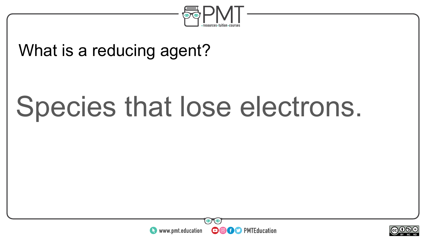

#### What is a reducing agent?

### Species that lose electrons.



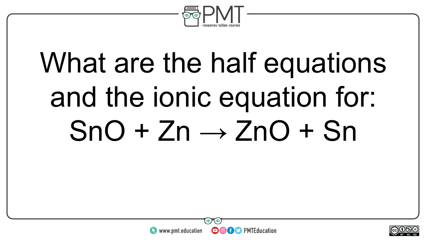

### What are the half equations and the ionic equation for:  $SnO + Zn \rightarrow ZnO + Sn$



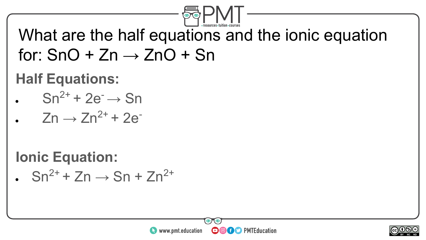

What are the half equations and the ionic equation for:  $SnO + Zn \rightarrow ZnO + Sn$ 

#### **Half Equations:**

- $Sn^{2+}$  + 2e<sup>-</sup>  $\rightarrow$  Sn
- $Zn \rightarrow Zn^{2+} + 2e^{-}$

**Ionic Equation:** 

 $\cdot$  Sn<sup>2+</sup> + Zn  $\rightarrow$  Sn + Zn<sup>2+</sup>



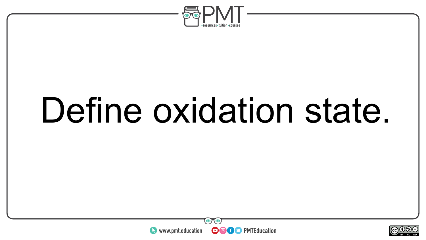

## Define oxidation state.



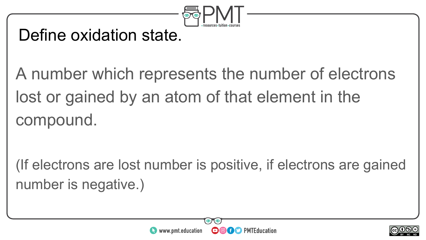

#### Define oxidation state.

A number which represents the number of electrons lost or gained by an atom of that element in the compound.

(If electrons are lost number is positive, if electrons are gained number is negative.)



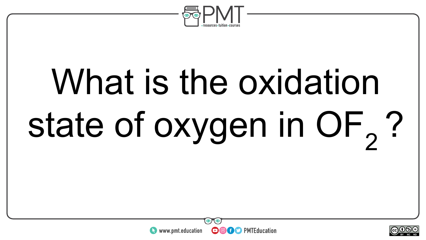

# What is the oxidation state of oxygen in OF<sub>2</sub>?



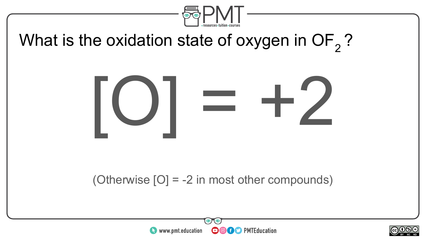

#### What is the oxidation state of oxygen in  $OF<sub>2</sub>$ ?



#### (Otherwise [O] = -2 in most other compounds)



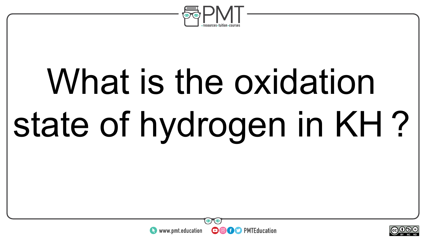

# What is the oxidation state of hydrogen in KH ?



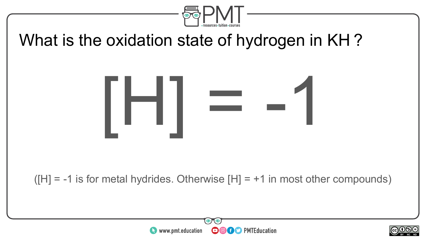

#### What is the oxidation state of hydrogen in KH ?



 $(H] = -1$  is for metal hydrides. Otherwise  $[H] = +1$  in most other compounds)



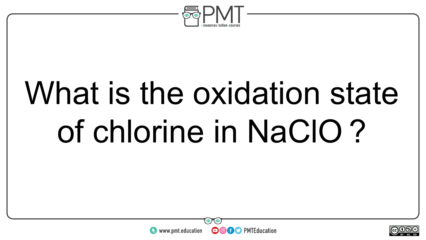

## What is the oxidation state of chlorine in NaClO ?



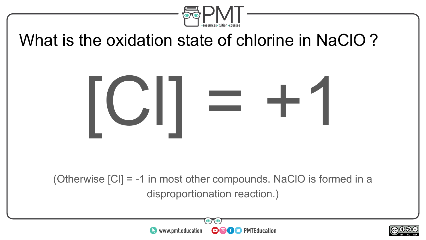

#### What is the oxidation state of chlorine in NaClO ?



(Otherwise [Cl] = -1 in most other compounds. NaClO is formed in a disproportionation reaction.)



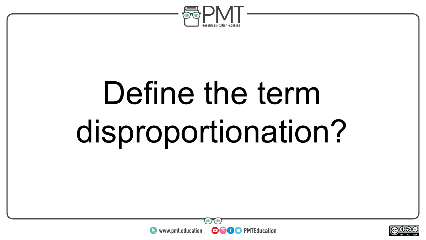

## Define the term disproportionation?



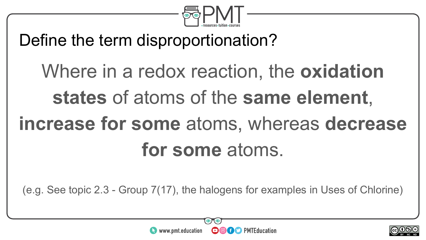

#### Define the term disproportionation?

### Where in a redox reaction, the **oxidation states** of atoms of the **same element**, **increase for some** atoms, whereas **decrease for some** atoms.

(e.g. See topic 2.3 - Group 7(17), the halogens for examples in Uses of Chlorine)



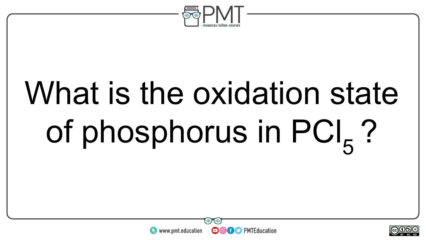

# What is the oxidation state of phosphorus in  $PCl_{5}$ ?



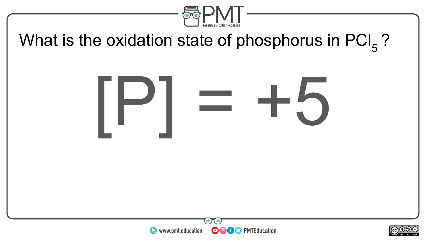

#### What is the oxidation state of phosphorus in  $PCI<sub>5</sub>$ ?





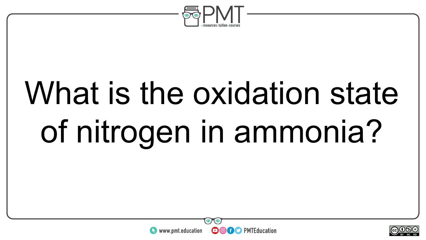

## What is the oxidation state of nitrogen in ammonia?



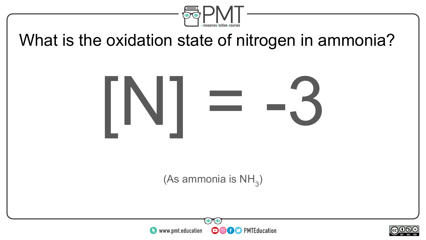

#### What is the oxidation state of nitrogen in ammonia?



(As ammonia is  $\mathsf{NH}_3$ )



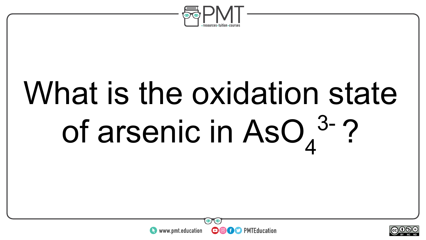

# What is the oxidation state of arsenic in AsO<sub>4</sub><sup>3-</sup>?



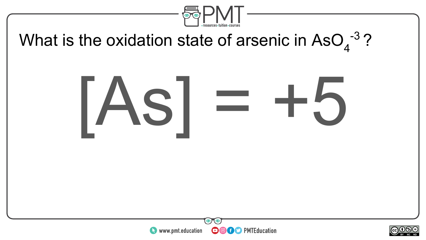

#### What is the oxidation state of arsenic in AsO $_4$ <sup>-3</sup>?

# [As] = +5



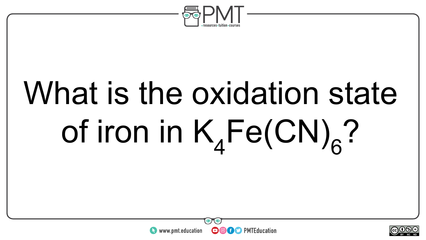

# What is the oxidation state of iron in  $K_4Fe(CN)_6$ ?



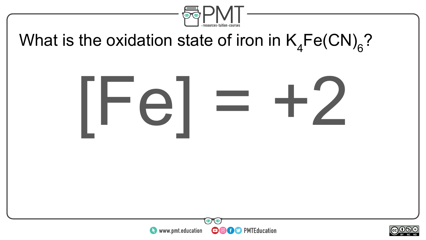

#### What is the oxidation state of iron in  $\mathsf{K}_4\mathsf{Fe(CN)}_6?$

# $rel = +2$



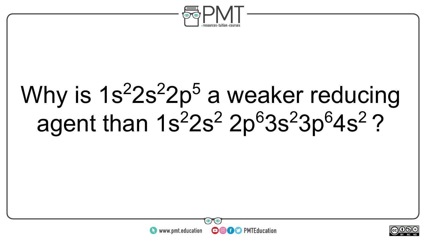

### Why is 1s<sup>2</sup>2s<sup>2</sup>2p<sup>5</sup> a weaker reducing agent than 1s<sup>2</sup>2s<sup>2</sup> 2p<sup>6</sup>3s<sup>2</sup>3p<sup>6</sup>4s<sup>2</sup>?



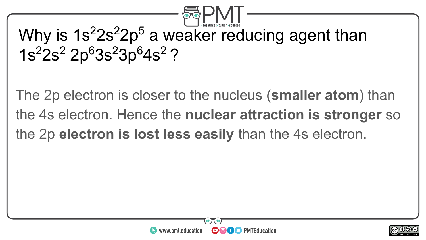

#### Why is 1s<sup>2</sup>2s<sup>2</sup>2p<sup>5</sup> a weaker reducing agent than 1s<sup>2</sup>2s<sup>2</sup> 2p<sup>6</sup>3s<sup>2</sup>3p<sup>6</sup>4s<sup>2</sup> ?

The 2p electron is closer to the nucleus (**smaller atom**) than the 4s electron. Hence the **nuclear attraction is stronger** so the 2p **electron is lost less easily** than the 4s electron.



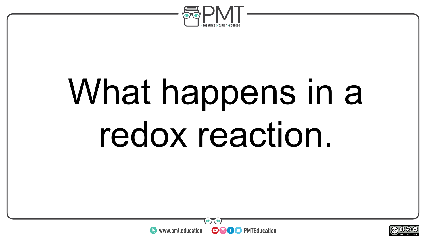

## What happens in a redox reaction.



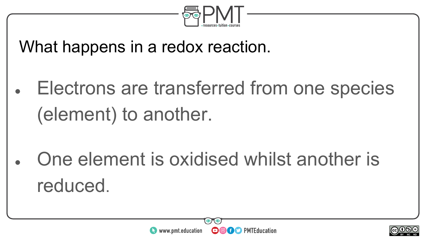

What happens in a redox reaction.

Electrons are transferred from one species (element) to another.

One element is oxidised whilst another is reduced.



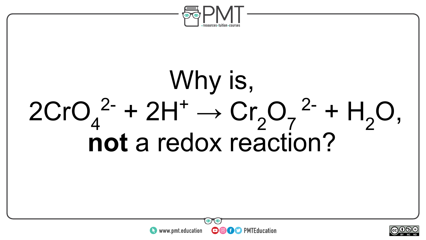

### Why is,  $2CrO<sub>4</sub><sup>2-</sup> + 2H<sup>+</sup> \rightarrow Cr<sub>2</sub>O<sub>7</sub><sup>2-</sup> + H<sub>2</sub>O,$ **not** a redox reaction?